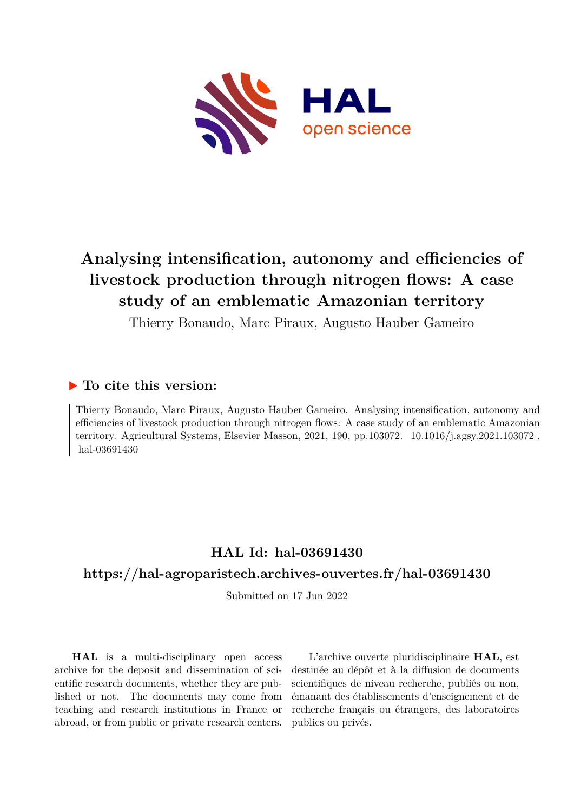

# **Analysing intensification, autonomy and efficiencies of livestock production through nitrogen flows: A case study of an emblematic Amazonian territory**

Thierry Bonaudo, Marc Piraux, Augusto Hauber Gameiro

# **To cite this version:**

Thierry Bonaudo, Marc Piraux, Augusto Hauber Gameiro. Analysing intensification, autonomy and efficiencies of livestock production through nitrogen flows: A case study of an emblematic Amazonian territory. Agricultural Systems, Elsevier Masson, 2021, 190, pp.103072. 10.1016/j.agsy.2021.103072. hal-03691430

# **HAL Id: hal-03691430**

# **<https://hal-agroparistech.archives-ouvertes.fr/hal-03691430>**

Submitted on 17 Jun 2022

**HAL** is a multi-disciplinary open access archive for the deposit and dissemination of scientific research documents, whether they are published or not. The documents may come from teaching and research institutions in France or abroad, or from public or private research centers.

L'archive ouverte pluridisciplinaire **HAL**, est destinée au dépôt et à la diffusion de documents scientifiques de niveau recherche, publiés ou non, émanant des établissements d'enseignement et de recherche français ou étrangers, des laboratoires publics ou privés.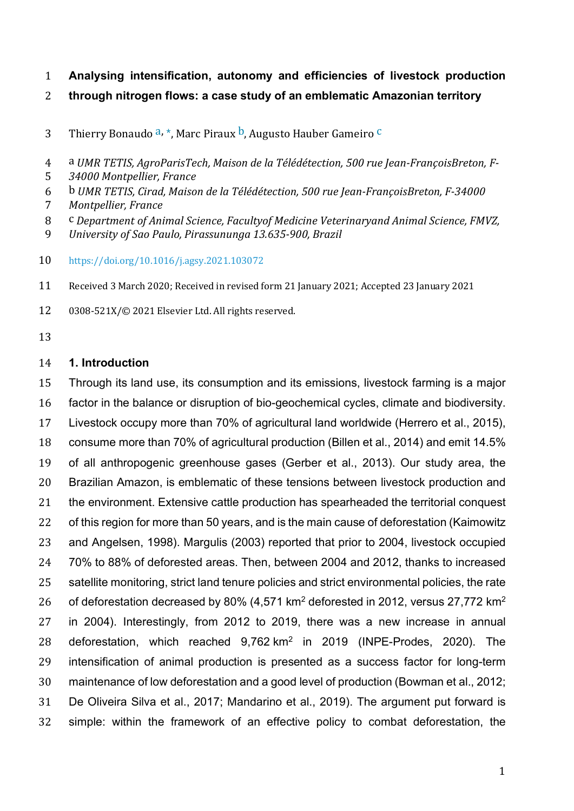- **Analysing intensification, autonomy and efficiencies of livestock production**
- **through nitrogen flows: a case study of an emblematic Amazonian territory**
- 3 Thierry Bonaudo  $a, *$ , Marc Piraux  $b$ , Augusto Hauber Gameiro  $\frac{c}{a}$
- 4 a *UMR TETIS, AgroParisTech, Maison de la Télédétection, 500 rue Jean-FrançoisBreton, F-*
- 5 34000 Montpellier, France
- 6 b *UMR TETIS, Cirad, Maison de la Télédétection, 500 rue Jean-FrançoisBreton, F-34000*
- *Montpellier, France*
- 8 C Department of Animal Science, Facultyof Medicine Veterinaryand Animal Science, FMVZ,
- *University of Sao Paulo, Pirassununga* 13.635-900, Brazil
- https://doi.org/10.1016/j.agsy.2021.103072
- 11 Received 3 March 2020; Received in revised form 21 January 2021; Accepted 23 January 2021
- 12 0308-521X/© 2021 Elsevier Ltd. All rights reserved.
- 

# **1. Introduction**

 Through its land use, its consumption and its emissions, livestock farming is a major factor in the balance or disruption of bio-geochemical cycles, climate and biodiversity. Livestock occupy more than 70% of agricultural land worldwide (Herrero et al., 2015), consume more than 70% of agricultural production (Billen et al., 2014) and emit 14.5% of all anthropogenic greenhouse gases (Gerber et al., 2013). Our study area, the Brazilian Amazon, is emblematic of these tensions between livestock production and 21 the environment. Extensive cattle production has spearheaded the territorial conquest of this region for more than 50 years, and is the main cause of deforestation (Kaimowitz and Angelsen, 1998). Margulis (2003) reported that prior to 2004, livestock occupied 70% to 88% of deforested areas. Then, between 2004 and 2012, thanks to increased 25 satellite monitoring, strict land tenure policies and strict environmental policies, the rate 26 of deforestation decreased by 80% (4,571 km<sup>2</sup> deforested in 2012, versus 27,772 km<sup>2</sup> in 2004). Interestingly, from 2012 to 2019, there was a new increase in annual 28 deforestation, which reached  $9,762 \text{ km}^2$  in 2019 (INPE-Prodes, 2020). The intensification of animal production is presented as a success factor for long-term maintenance of low deforestation and a good level of production (Bowman et al., 2012; De Oliveira Silva et al., 2017; Mandarino et al., 2019). The argument put forward is simple: within the framework of an effective policy to combat deforestation, the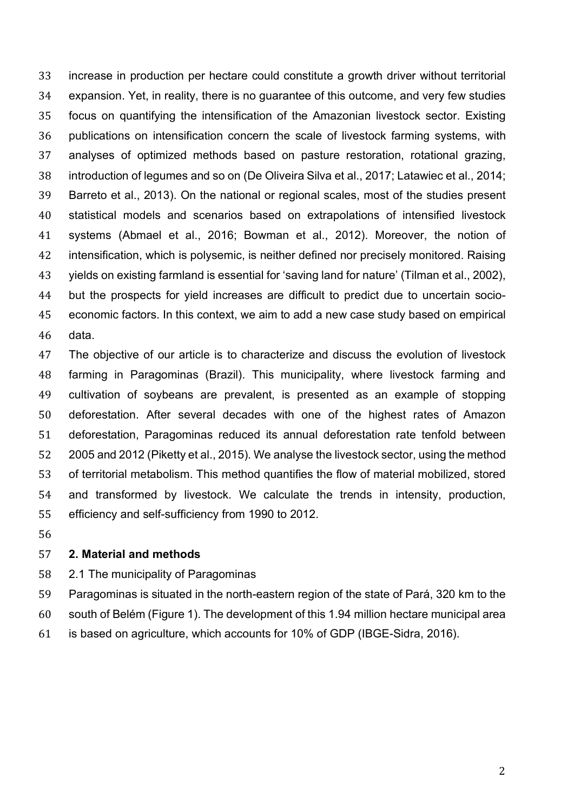increase in production per hectare could constitute a growth driver without territorial expansion. Yet, in reality, there is no guarantee of this outcome, and very few studies focus on quantifying the intensification of the Amazonian livestock sector. Existing publications on intensification concern the scale of livestock farming systems, with analyses of optimized methods based on pasture restoration, rotational grazing, introduction of legumes and so on (De Oliveira Silva et al., 2017; Latawiec et al., 2014; Barreto et al., 2013). On the national or regional scales, most of the studies present statistical models and scenarios based on extrapolations of intensified livestock systems (Abmael et al., 2016; Bowman et al., 2012). Moreover, the notion of intensification, which is polysemic, is neither defined nor precisely monitored. Raising yields on existing farmland is essential for 'saving land for nature' (Tilman et al., 2002), but the prospects for yield increases are difficult to predict due to uncertain socio- economic factors. In this context, we aim to add a new case study based on empirical data.

 The objective of our article is to characterize and discuss the evolution of livestock farming in Paragominas (Brazil). This municipality, where livestock farming and cultivation of soybeans are prevalent, is presented as an example of stopping deforestation. After several decades with one of the highest rates of Amazon deforestation, Paragominas reduced its annual deforestation rate tenfold between 2005 and 2012 (Piketty et al., 2015). We analyse the livestock sector, using the method of territorial metabolism. This method quantifies the flow of material mobilized, stored and transformed by livestock. We calculate the trends in intensity, production, efficiency and self-sufficiency from 1990 to 2012.

#### **2. Material and methods**

- 2.1 The municipality of Paragominas
- Paragominas is situated in the north-eastern region of the state of Pará, 320 km to the
- south of Belém (Figure 1). The development of this 1.94 million hectare municipal area
- is based on agriculture, which accounts for 10% of GDP (IBGE-Sidra, 2016).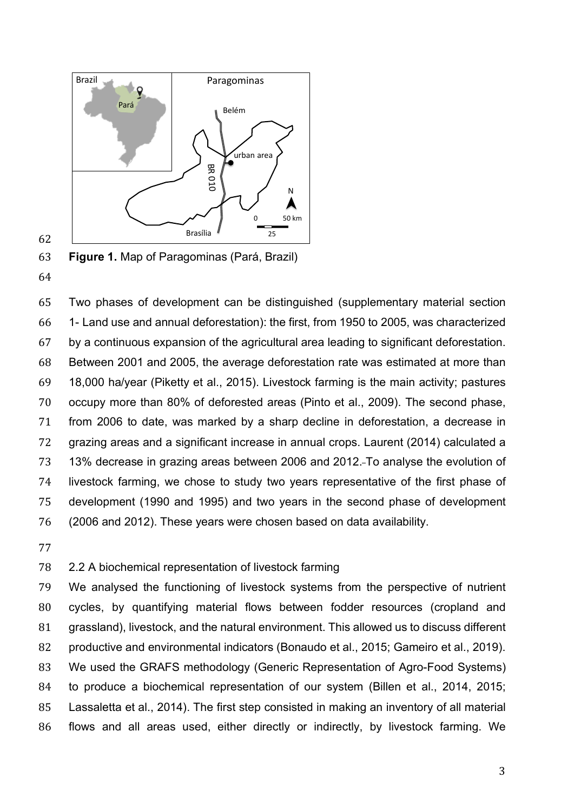

**Figure 1.** Map of Paragominas (Pará, Brazil)

 Two phases of development can be distinguished (supplementary material section 1- Land use and annual deforestation): the first, from 1950 to 2005, was characterized by a continuous expansion of the agricultural area leading to significant deforestation. Between 2001 and 2005, the average deforestation rate was estimated at more than 18,000 ha/year (Piketty et al., 2015). Livestock farming is the main activity; pastures occupy more than 80% of deforested areas (Pinto et al., 2009). The second phase, from 2006 to date, was marked by a sharp decline in deforestation, a decrease in grazing areas and a significant increase in annual crops. Laurent (2014) calculated a 13% decrease in grazing areas between 2006 and 2012. To analyse the evolution of livestock farming, we chose to study two years representative of the first phase of development (1990 and 1995) and two years in the second phase of development (2006 and 2012). These years were chosen based on data availability.

# 2.2 A biochemical representation of livestock farming

 We analysed the functioning of livestock systems from the perspective of nutrient cycles, by quantifying material flows between fodder resources (cropland and grassland), livestock, and the natural environment. This allowed us to discuss different productive and environmental indicators (Bonaudo et al., 2015; Gameiro et al., 2019). We used the GRAFS methodology (Generic Representation of Agro-Food Systems) to produce a biochemical representation of our system (Billen et al., 2014, 2015; Lassaletta et al., 2014). The first step consisted in making an inventory of all material flows and all areas used, either directly or indirectly, by livestock farming. We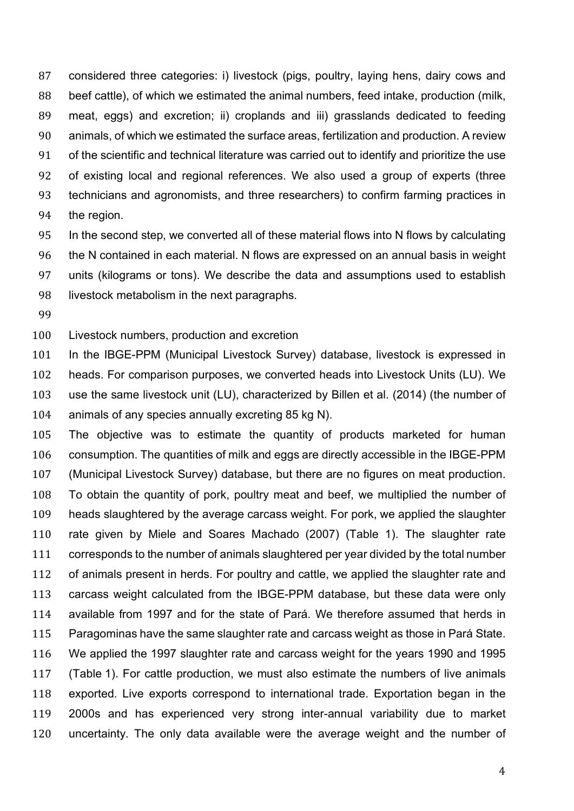considered three categories: i) livestock (pigs, poultry, laying hens, dairy cows and beef cattle), of which we estimated the animal numbers, feed intake, production (milk, meat, eggs) and excretion; ii) croplands and iii) grasslands dedicated to feeding animals, of which we estimated the surface areas, fertilization and production. A review of the scientific and technical literature was carried out to identify and prioritize the use of existing local and regional references. We also used a group of experts (three technicians and agronomists, and three researchers) to confirm farming practices in the region.

 In the second step, we converted all of these material flows into N flows by calculating the N contained in each material. N flows are expressed on an annual basis in weight units (kilograms or tons). We describe the data and assumptions used to establish livestock metabolism in the next paragraphs.

Livestock numbers, production and excretion

 In the IBGE-PPM (Municipal Livestock Survey) database, livestock is expressed in heads. For comparison purposes, we converted heads into Livestock Units (LU). We use the same livestock unit (LU), characterized by Billen et al. (2014) (the number of animals of any species annually excreting 85 kg N).

 The objective was to estimate the quantity of products marketed for human consumption. The quantities of milk and eggs are directly accessible in the IBGE-PPM (Municipal Livestock Survey) database, but there are no figures on meat production. To obtain the quantity of pork, poultry meat and beef, we multiplied the number of heads slaughtered by the average carcass weight. For pork, we applied the slaughter rate given by Miele and Soares Machado (2007) (Table 1). The slaughter rate corresponds to the number of animals slaughtered per year divided by the total number of animals present in herds. For poultry and cattle, we applied the slaughter rate and carcass weight calculated from the IBGE-PPM database, but these data were only available from 1997 and for the state of Pará. We therefore assumed that herds in Paragominas have the same slaughter rate and carcass weight as those in Pará State. We applied the 1997 slaughter rate and carcass weight for the years 1990 and 1995 (Table 1). For cattle production, we must also estimate the numbers of live animals exported. Live exports correspond to international trade. Exportation began in the 2000s and has experienced very strong inter-annual variability due to market uncertainty. The only data available were the average weight and the number of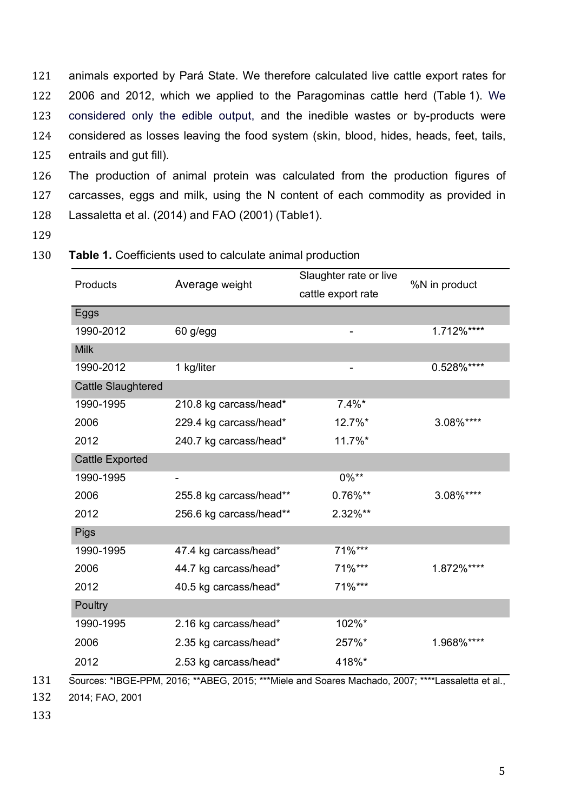animals exported by Pará State. We therefore calculated live cattle export rates for 2006 and 2012, which we applied to the Paragominas cattle herd (Table 1). We considered only the edible output, and the inedible wastes or by-products were considered as losses leaving the food system (skin, blood, hides, heads, feet, tails, entrails and gut fill).

126 The production of animal protein was calculated from the production figures of 127 carcasses, eggs and milk, using the N content of each commodity as provided in 128 Lassaletta et al. (2014) and FAO (2001) (Table1).

129

#### 130 **Table 1.** Coefficients used to calculate animal production

| Products                  | Average weight          | Slaughter rate or live<br>cattle export rate | %N in product |
|---------------------------|-------------------------|----------------------------------------------|---------------|
| Eggs                      |                         |                                              |               |
| 1990-2012                 | 60 g/egg                |                                              | 1.712%****    |
| <b>Milk</b>               |                         |                                              |               |
| 1990-2012                 | 1 kg/liter              |                                              | 0.528%****    |
| <b>Cattle Slaughtered</b> |                         |                                              |               |
| 1990-1995                 | 210.8 kg carcass/head*  | $7.4\%$ *                                    |               |
| 2006                      | 229.4 kg carcass/head*  | 12.7%*                                       | 3.08%****     |
| 2012                      | 240.7 kg carcass/head*  | 11.7%*                                       |               |
| <b>Cattle Exported</b>    |                         |                                              |               |
| 1990-1995                 | -                       | $0\%**$                                      |               |
| 2006                      | 255.8 kg carcass/head** | 0.76%**                                      | 3.08%****     |
| 2012                      | 256.6 kg carcass/head** | 2.32%**                                      |               |
| <b>Pigs</b>               |                         |                                              |               |
| 1990-1995                 | 47.4 kg carcass/head*   | $71\%***$                                    |               |
| 2006                      | 44.7 kg carcass/head*   | 71%***                                       | 1.872%****    |
| 2012                      | 40.5 kg carcass/head*   | 71%***                                       |               |
| Poultry                   |                         |                                              |               |
| 1990-1995                 | 2.16 kg carcass/head*   | 102%*                                        |               |
| 2006                      | 2.35 kg carcass/head*   | 257%*                                        | 1.968%****    |
| 2012                      | 2.53 kg carcass/head*   | 418%*                                        |               |

131 Sources: \*IBGE-PPM, 2016; \*\*ABEG, 2015; \*\*\*Miele and Soares Machado, 2007; \*\*\*\*Lassaletta et al.,

132 2014; FAO, 2001

133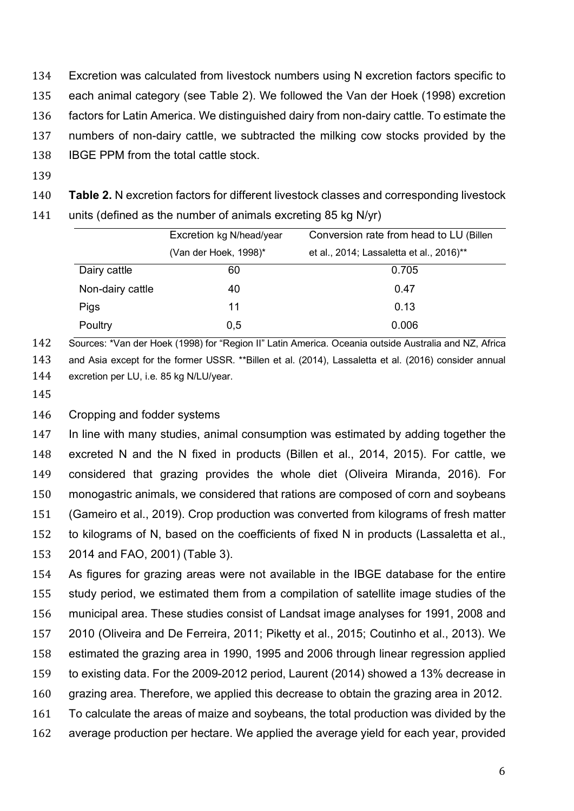Excretion was calculated from livestock numbers using N excretion factors specific to each animal category (see Table 2). We followed the Van der Hoek (1998) excretion factors for Latin America. We distinguished dairy from non-dairy cattle. To estimate the numbers of non-dairy cattle, we subtracted the milking cow stocks provided by the IBGE PPM from the total cattle stock.

**Table 2.** N excretion factors for different livestock classes and corresponding livestock

units (defined as the number of animals excreting 85 kg N/yr)

|                  | Excretion kg N/head/year | Conversion rate from head to LU (Billen  |  |  |
|------------------|--------------------------|------------------------------------------|--|--|
|                  | (Van der Hoek, 1998)*    | et al., 2014; Lassaletta et al., 2016)** |  |  |
| Dairy cattle     | 60                       | 0.705                                    |  |  |
| Non-dairy cattle | 40                       | 0.47                                     |  |  |
| Pigs             | 11                       | 0.13                                     |  |  |
| Poultry          | 0,5                      | 0.006                                    |  |  |

 Sources: \*Van der Hoek (1998) for "Region II" Latin America. Oceania outside Australia and NZ, Africa and Asia except for the former USSR. \*\*Billen et al. (2014), Lassaletta et al. (2016) consider annual excretion per LU, i.e. 85 kg N/LU/year.

#### Cropping and fodder systems

 In line with many studies, animal consumption was estimated by adding together the excreted N and the N fixed in products (Billen et al., 2014, 2015). For cattle, we considered that grazing provides the whole diet (Oliveira Miranda, 2016). For monogastric animals, we considered that rations are composed of corn and soybeans (Gameiro et al., 2019). Crop production was converted from kilograms of fresh matter to kilograms of N, based on the coefficients of fixed N in products (Lassaletta et al., 2014 and FAO, 2001) (Table 3).

 As figures for grazing areas were not available in the IBGE database for the entire study period, we estimated them from a compilation of satellite image studies of the municipal area. These studies consist of Landsat image analyses for 1991, 2008 and 2010 (Oliveira and De Ferreira, 2011; Piketty et al., 2015; Coutinho et al., 2013). We estimated the grazing area in 1990, 1995 and 2006 through linear regression applied to existing data. For the 2009-2012 period, Laurent (2014) showed a 13% decrease in grazing area. Therefore, we applied this decrease to obtain the grazing area in 2012. To calculate the areas of maize and soybeans, the total production was divided by the

average production per hectare. We applied the average yield for each year, provided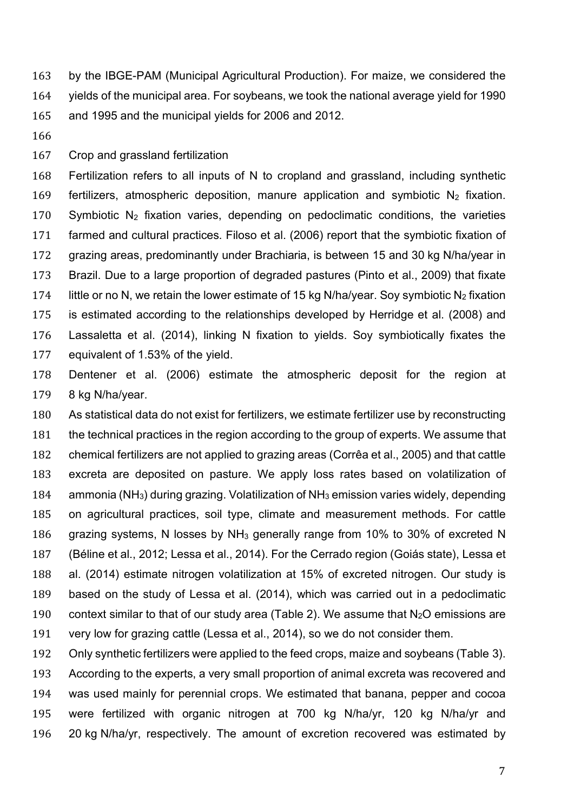by the IBGE-PAM (Municipal Agricultural Production). For maize, we considered the yields of the municipal area. For soybeans, we took the national average yield for 1990 and 1995 and the municipal yields for 2006 and 2012.

Crop and grassland fertilization

 Fertilization refers to all inputs of N to cropland and grassland, including synthetic 169 fertilizers, atmospheric deposition, manure application and symbiotic  $N_2$  fixation. 170 Symbiotic  $N_2$  fixation varies, depending on pedoclimatic conditions, the varieties farmed and cultural practices. Filoso et al. (2006) report that the symbiotic fixation of grazing areas, predominantly under Brachiaria, is between 15 and 30 kg N/ha/year in Brazil. Due to a large proportion of degraded pastures (Pinto et al., 2009) that fixate 174 little or no N, we retain the lower estimate of 15 kg N/ha/year. Soy symbiotic N<sub>2</sub> fixation is estimated according to the relationships developed by Herridge et al. (2008) and Lassaletta et al. (2014), linking N fixation to yields. Soy symbiotically fixates the equivalent of 1.53% of the yield.

 Dentener et al. (2006) estimate the atmospheric deposit for the region at 8 kg N/ha/year.

 As statistical data do not exist for fertilizers, we estimate fertilizer use by reconstructing the technical practices in the region according to the group of experts. We assume that chemical fertilizers are not applied to grazing areas (Corrêa et al., 2005) and that cattle excreta are deposited on pasture. We apply loss rates based on volatilization of ammonia (NH3) during grazing. Volatilization of NH3 emission varies widely, depending on agricultural practices, soil type, climate and measurement methods. For cattle grazing systems, N losses by NH3 generally range from 10% to 30% of excreted N (Béline et al., 2012; Lessa et al., 2014). For the Cerrado region (Goiás state), Lessa et al. (2014) estimate nitrogen volatilization at 15% of excreted nitrogen. Our study is based on the study of Lessa et al. (2014), which was carried out in a pedoclimatic 190 context similar to that of our study area (Table 2). We assume that  $N_2O$  emissions are very low for grazing cattle (Lessa et al., 2014), so we do not consider them.

 Only synthetic fertilizers were applied to the feed crops, maize and soybeans (Table 3). According to the experts, a very small proportion of animal excreta was recovered and was used mainly for perennial crops. We estimated that banana, pepper and cocoa were fertilized with organic nitrogen at 700 kg N/ha/yr, 120 kg N/ha/yr and 20 kg N/ha/yr, respectively. The amount of excretion recovered was estimated by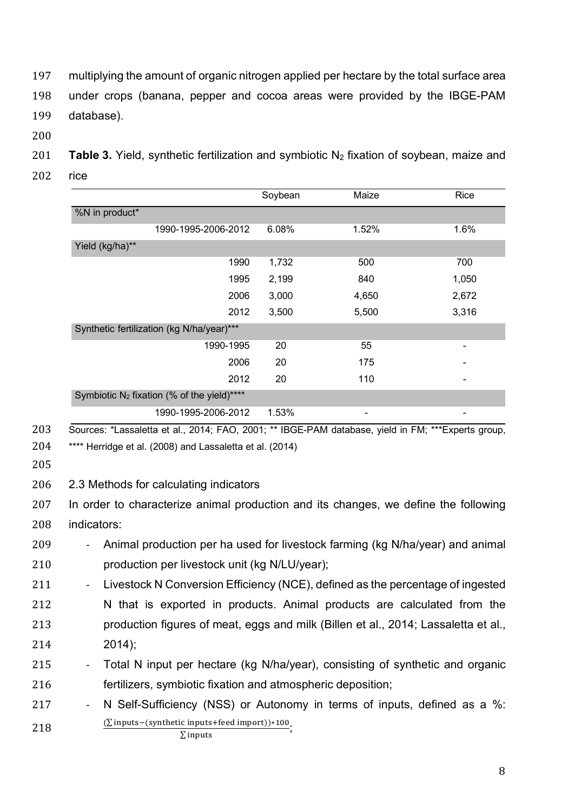multiplying the amount of organic nitrogen applied per hectare by the total surface area under crops (banana, pepper and cocoa areas were provided by the IBGE-PAM database).

201 **Table 3.** Yield, synthetic fertilization and symbiotic N<sub>2</sub> fixation of soybean, maize and rice

|                                               |                     | Soybean | Maize | Rice  |
|-----------------------------------------------|---------------------|---------|-------|-------|
| %N in product*                                |                     |         |       |       |
|                                               | 1990-1995-2006-2012 | 6.08%   | 1.52% | 1.6%  |
| Yield (kg/ha)**                               |                     |         |       |       |
|                                               | 1990                | 1,732   | 500   | 700   |
|                                               | 1995                | 2,199   | 840   | 1,050 |
|                                               | 2006                | 3,000   | 4,650 | 2,672 |
|                                               | 2012                | 3,500   | 5,500 | 3,316 |
| Synthetic fertilization (kg N/ha/year)***     |                     |         |       |       |
|                                               | 1990-1995           | 20      | 55    | -     |
|                                               | 2006                | 20      | 175   |       |
|                                               | 2012                | 20      | 110   |       |
| Symbiotic $N_2$ fixation (% of the yield)**** |                     |         |       |       |
|                                               | 1990-1995-2006-2012 | 1.53%   |       |       |

2.3 Methods for calculating indicators

 In order to characterize animal production and its changes, we define the following indicators:

- Animal production per ha used for livestock farming (kg N/ha/year) and animal production per livestock unit (kg N/LU/year);
- 211 Livestock N Conversion Efficiency (NCE), defined as the percentage of ingested 212 N that is exported in products. Animal products are calculated from the production figures of meat, eggs and milk (Billen et al., 2014; Lassaletta et al., 2014);
- 215 Total N input per hectare (kg N/ha/year), consisting of synthetic and organic fertilizers, symbiotic fixation and atmospheric deposition;
- 217 N Self-Sufficiency (NSS) or Autonomy in terms of inputs, defined as a %: 218  $(\sum$  inputs – (synthetic inputs + feed import))\*100;  $\Sigma$  inputs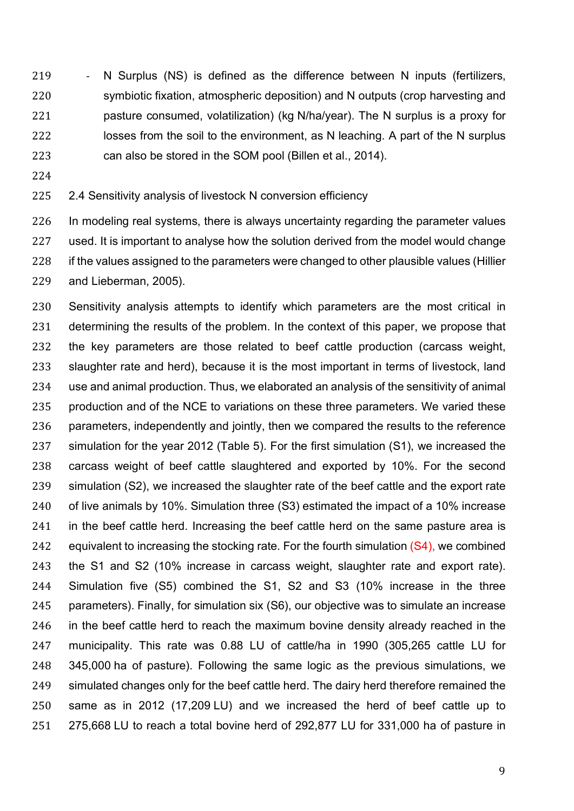219 - N Surplus (NS) is defined as the difference between N inputs (fertilizers, symbiotic fixation, atmospheric deposition) and N outputs (crop harvesting and pasture consumed, volatilization) (kg N/ha/year). The N surplus is a proxy for 222 losses from the soil to the environment, as N leaching. A part of the N surplus can also be stored in the SOM pool (Billen et al., 2014).

# 2.4 Sensitivity analysis of livestock N conversion efficiency

 In modeling real systems, there is always uncertainty regarding the parameter values used. It is important to analyse how the solution derived from the model would change 228 if the values assigned to the parameters were changed to other plausible values (Hillier and Lieberman, 2005).

 Sensitivity analysis attempts to identify which parameters are the most critical in determining the results of the problem. In the context of this paper, we propose that the key parameters are those related to beef cattle production (carcass weight, slaughter rate and herd), because it is the most important in terms of livestock, land use and animal production. Thus, we elaborated an analysis of the sensitivity of animal 235 production and of the NCE to variations on these three parameters. We varied these parameters, independently and jointly, then we compared the results to the reference simulation for the year 2012 (Table 5). For the first simulation (S1), we increased the carcass weight of beef cattle slaughtered and exported by 10%. For the second simulation (S2), we increased the slaughter rate of the beef cattle and the export rate of live animals by 10%. Simulation three (S3) estimated the impact of a 10% increase 241 in the beef cattle herd. Increasing the beef cattle herd on the same pasture area is 242 equivalent to increasing the stocking rate. For the fourth simulation  $(S4)$ , we combined the S1 and S2 (10% increase in carcass weight, slaughter rate and export rate). Simulation five (S5) combined the S1, S2 and S3 (10% increase in the three parameters). Finally, for simulation six (S6), our objective was to simulate an increase in the beef cattle herd to reach the maximum bovine density already reached in the municipality. This rate was 0.88 LU of cattle/ha in 1990 (305,265 cattle LU for 345,000 ha of pasture). Following the same logic as the previous simulations, we simulated changes only for the beef cattle herd. The dairy herd therefore remained the same as in 2012 (17,209 LU) and we increased the herd of beef cattle up to 275,668 LU to reach a total bovine herd of 292,877 LU for 331,000 ha of pasture in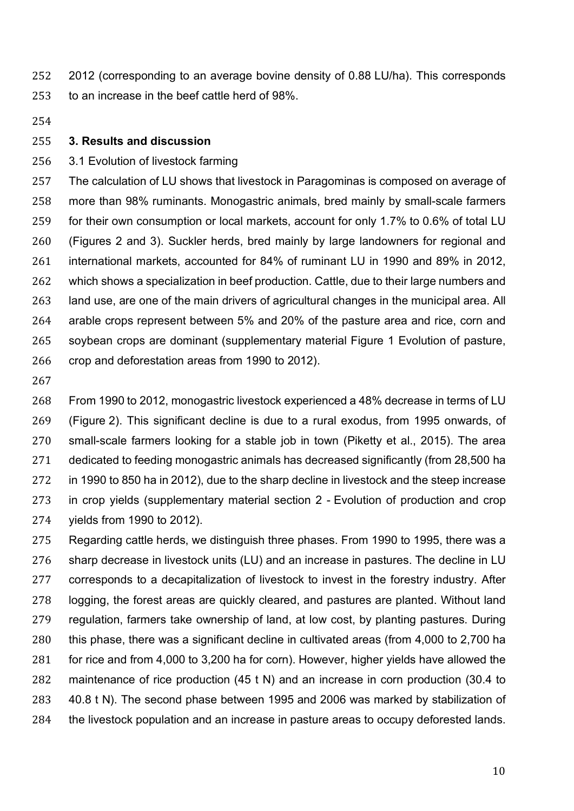2012 (corresponding to an average bovine density of 0.88 LU/ha). This corresponds to an increase in the beef cattle herd of 98%.

#### **3. Results and discussion**

### 3.1 Evolution of livestock farming

 The calculation of LU shows that livestock in Paragominas is composed on average of more than 98% ruminants. Monogastric animals, bred mainly by small-scale farmers for their own consumption or local markets, account for only 1.7% to 0.6% of total LU (Figures 2 and 3). Suckler herds, bred mainly by large landowners for regional and international markets, accounted for 84% of ruminant LU in 1990 and 89% in 2012, which shows a specialization in beef production. Cattle, due to their large numbers and land use, are one of the main drivers of agricultural changes in the municipal area. All arable crops represent between 5% and 20% of the pasture area and rice, corn and soybean crops are dominant (supplementary material Figure 1 Evolution of pasture, crop and deforestation areas from 1990 to 2012).

 From 1990 to 2012, monogastric livestock experienced a 48% decrease in terms of LU (Figure 2). This significant decline is due to a rural exodus, from 1995 onwards, of small-scale farmers looking for a stable job in town (Piketty et al., 2015). The area dedicated to feeding monogastric animals has decreased significantly (from 28,500 ha in 1990 to 850 ha in 2012), due to the sharp decline in livestock and the steep increase in crop yields (supplementary material section 2 - Evolution of production and crop yields from 1990 to 2012).

 Regarding cattle herds, we distinguish three phases. From 1990 to 1995, there was a sharp decrease in livestock units (LU) and an increase in pastures. The decline in LU corresponds to a decapitalization of livestock to invest in the forestry industry. After logging, the forest areas are quickly cleared, and pastures are planted. Without land regulation, farmers take ownership of land, at low cost, by planting pastures. During this phase, there was a significant decline in cultivated areas (from 4,000 to 2,700 ha for rice and from 4,000 to 3,200 ha for corn). However, higher yields have allowed the maintenance of rice production (45 t N) and an increase in corn production (30.4 to 40.8 t N). The second phase between 1995 and 2006 was marked by stabilization of the livestock population and an increase in pasture areas to occupy deforested lands.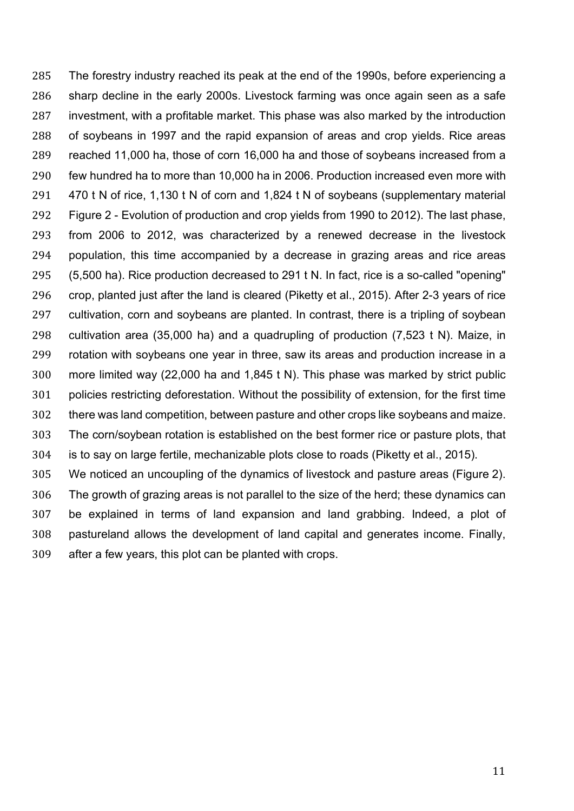The forestry industry reached its peak at the end of the 1990s, before experiencing a sharp decline in the early 2000s. Livestock farming was once again seen as a safe investment, with a profitable market. This phase was also marked by the introduction of soybeans in 1997 and the rapid expansion of areas and crop yields. Rice areas reached 11,000 ha, those of corn 16,000 ha and those of soybeans increased from a few hundred ha to more than 10,000 ha in 2006. Production increased even more with 470 t N of rice, 1,130 t N of corn and 1,824 t N of soybeans (supplementary material Figure 2 - Evolution of production and crop yields from 1990 to 2012). The last phase, from 2006 to 2012, was characterized by a renewed decrease in the livestock population, this time accompanied by a decrease in grazing areas and rice areas (5,500 ha). Rice production decreased to 291 t N. In fact, rice is a so-called "opening" crop, planted just after the land is cleared (Piketty et al., 2015). After 2-3 years of rice cultivation, corn and soybeans are planted. In contrast, there is a tripling of soybean cultivation area (35,000 ha) and a quadrupling of production (7,523 t N). Maize, in rotation with soybeans one year in three, saw its areas and production increase in a more limited way (22,000 ha and 1,845 t N). This phase was marked by strict public policies restricting deforestation. Without the possibility of extension, for the first time there was land competition, between pasture and other crops like soybeans and maize. The corn/soybean rotation is established on the best former rice or pasture plots, that is to say on large fertile, mechanizable plots close to roads (Piketty et al., 2015). We noticed an uncoupling of the dynamics of livestock and pasture areas (Figure 2). The growth of grazing areas is not parallel to the size of the herd; these dynamics can be explained in terms of land expansion and land grabbing. Indeed, a plot of

 pastureland allows the development of land capital and generates income. Finally, after a few years, this plot can be planted with crops.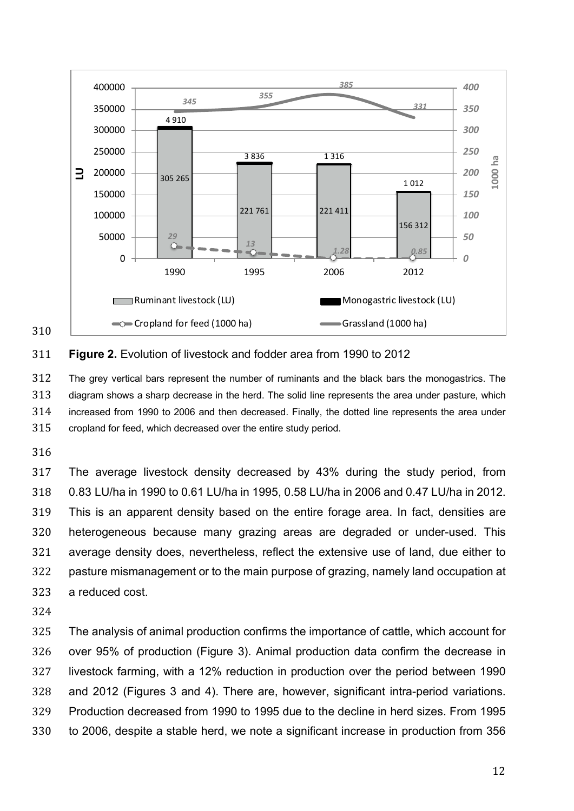

#### **Figure 2.** Evolution of livestock and fodder area from 1990 to 2012

 The grey vertical bars represent the number of ruminants and the black bars the monogastrics. The diagram shows a sharp decrease in the herd. The solid line represents the area under pasture, which increased from 1990 to 2006 and then decreased. Finally, the dotted line represents the area under cropland for feed, which decreased over the entire study period.

 The average livestock density decreased by 43% during the study period, from 0.83 LU/ha in 1990 to 0.61 LU/ha in 1995, 0.58 LU/ha in 2006 and 0.47 LU/ha in 2012. This is an apparent density based on the entire forage area. In fact, densities are heterogeneous because many grazing areas are degraded or under-used. This average density does, nevertheless, reflect the extensive use of land, due either to pasture mismanagement or to the main purpose of grazing, namely land occupation at a reduced cost.

 The analysis of animal production confirms the importance of cattle, which account for over 95% of production (Figure 3). Animal production data confirm the decrease in livestock farming, with a 12% reduction in production over the period between 1990 and 2012 (Figures 3 and 4). There are, however, significant intra-period variations. Production decreased from 1990 to 1995 due to the decline in herd sizes. From 1995 to 2006, despite a stable herd, we note a significant increase in production from 356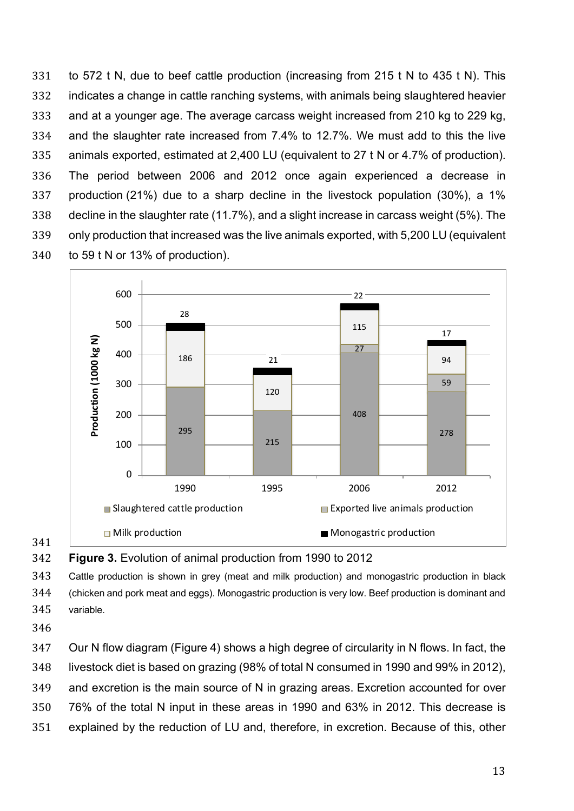to 572 t N, due to beef cattle production (increasing from 215 t N to 435 t N). This indicates a change in cattle ranching systems, with animals being slaughtered heavier and at a younger age. The average carcass weight increased from 210 kg to 229 kg, and the slaughter rate increased from 7.4% to 12.7%. We must add to this the live animals exported, estimated at 2,400 LU (equivalent to 27 t N or 4.7% of production). The period between 2006 and 2012 once again experienced a decrease in production (21%) due to a sharp decline in the livestock population (30%), a 1% decline in the slaughter rate (11.7%), and a slight increase in carcass weight (5%). The only production that increased was the live animals exported, with 5,200 LU (equivalent to 59 t N or 13% of production).



**Figure 3.** Evolution of animal production from 1990 to 2012

 Cattle production is shown in grey (meat and milk production) and monogastric production in black (chicken and pork meat and eggs). Monogastric production is very low. Beef production is dominant and variable.

 Our N flow diagram (Figure 4) shows a high degree of circularity in N flows. In fact, the livestock diet is based on grazing (98% of total N consumed in 1990 and 99% in 2012), and excretion is the main source of N in grazing areas. Excretion accounted for over 76% of the total N input in these areas in 1990 and 63% in 2012. This decrease is explained by the reduction of LU and, therefore, in excretion. Because of this, other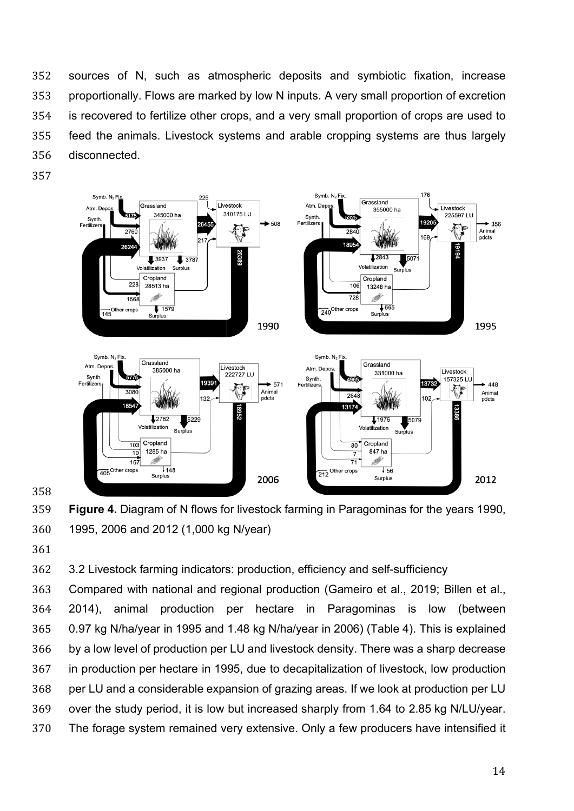sources of N, such as atmospheric deposits and symbiotic fixation, increase proportionally. Flows are marked by low N inputs. A very small proportion of excretion is recovered to fertilize other crops, and a very small proportion of crops are used to feed the animals. Livestock systems and arable cropping systems are thus largely disconnected.





3.2 Livestock farming indicators: production, efficiency and self-sufficiency

 Compared with national and regional production (Gameiro et al., 2019; Billen et al., 2014), animal production per hectare in Paragominas is low (between 0.97 kg N/ha/year in 1995 and 1.48 kg N/ha/year in 2006) (Table 4). This is explained by a low level of production per LU and livestock density. There was a sharp decrease in production per hectare in 1995, due to decapitalization of livestock, low production per LU and a considerable expansion of grazing areas. If we look at production per LU over the study period, it is low but increased sharply from 1.64 to 2.85 kg N/LU/year. The forage system remained very extensive. Only a few producers have intensified it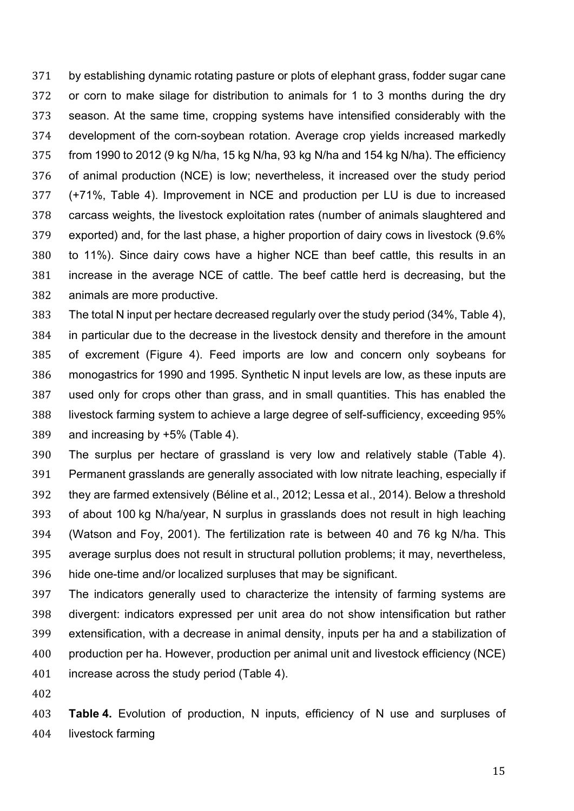by establishing dynamic rotating pasture or plots of elephant grass, fodder sugar cane or corn to make silage for distribution to animals for 1 to 3 months during the dry season. At the same time, cropping systems have intensified considerably with the development of the corn-soybean rotation. Average crop yields increased markedly from 1990 to 2012 (9 kg N/ha, 15 kg N/ha, 93 kg N/ha and 154 kg N/ha). The efficiency of animal production (NCE) is low; nevertheless, it increased over the study period (+71%, Table 4). Improvement in NCE and production per LU is due to increased carcass weights, the livestock exploitation rates (number of animals slaughtered and exported) and, for the last phase, a higher proportion of dairy cows in livestock (9.6% to 11%). Since dairy cows have a higher NCE than beef cattle, this results in an increase in the average NCE of cattle. The beef cattle herd is decreasing, but the animals are more productive.

 The total N input per hectare decreased regularly over the study period (34%, Table 4), in particular due to the decrease in the livestock density and therefore in the amount of excrement (Figure 4). Feed imports are low and concern only soybeans for monogastrics for 1990 and 1995. Synthetic N input levels are low, as these inputs are used only for crops other than grass, and in small quantities. This has enabled the livestock farming system to achieve a large degree of self-sufficiency, exceeding 95% and increasing by +5% (Table 4).

 The surplus per hectare of grassland is very low and relatively stable (Table 4). Permanent grasslands are generally associated with low nitrate leaching, especially if they are farmed extensively (Béline et al., 2012; Lessa et al., 2014). Below a threshold of about 100 kg N/ha/year, N surplus in grasslands does not result in high leaching (Watson and Foy, 2001). The fertilization rate is between 40 and 76 kg N/ha. This average surplus does not result in structural pollution problems; it may, nevertheless, hide one-time and/or localized surpluses that may be significant.

 The indicators generally used to characterize the intensity of farming systems are divergent: indicators expressed per unit area do not show intensification but rather extensification, with a decrease in animal density, inputs per ha and a stabilization of production per ha. However, production per animal unit and livestock efficiency (NCE) increase across the study period (Table 4).

 **Table 4.** Evolution of production, N inputs, efficiency of N use and surpluses of livestock farming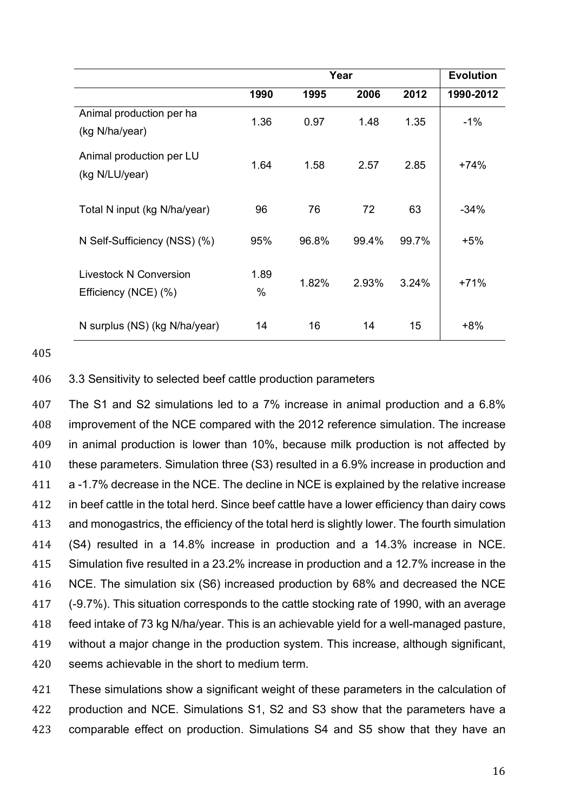|                                                | Year      |       |       | <b>Evolution</b> |           |
|------------------------------------------------|-----------|-------|-------|------------------|-----------|
|                                                | 1990      | 1995  | 2006  | 2012             | 1990-2012 |
| Animal production per ha<br>(kg N/ha/year)     | 1.36      | 0.97  | 1.48  | 1.35             | $-1\%$    |
| Animal production per LU<br>(kg N/LU/year)     | 1.64      | 1.58  | 2.57  | 2.85             | +74%      |
| Total N input (kg N/ha/year)                   | 96        | 76    | 72    | 63               | $-34%$    |
| N Self-Sufficiency (NSS) (%)                   | 95%       | 96.8% | 99.4% | 99.7%            | $+5%$     |
| Livestock N Conversion<br>Efficiency (NCE) (%) | 1.89<br>% | 1.82% | 2.93% | 3.24%            | $+71%$    |
| N surplus (NS) (kg N/ha/year)                  | 14        | 16    | 14    | 15               | $+8%$     |

405

# 406 3.3 Sensitivity to selected beef cattle production parameters

 The S1 and S2 simulations led to a 7% increase in animal production and a 6.8% improvement of the NCE compared with the 2012 reference simulation. The increase in animal production is lower than 10%, because milk production is not affected by these parameters. Simulation three (S3) resulted in a 6.9% increase in production and a -1.7% decrease in the NCE. The decline in NCE is explained by the relative increase in beef cattle in the total herd. Since beef cattle have a lower efficiency than dairy cows and monogastrics, the efficiency of the total herd is slightly lower. The fourth simulation (S4) resulted in a 14.8% increase in production and a 14.3% increase in NCE. Simulation five resulted in a 23.2% increase in production and a 12.7% increase in the NCE. The simulation six (S6) increased production by 68% and decreased the NCE (-9.7%). This situation corresponds to the cattle stocking rate of 1990, with an average feed intake of 73 kg N/ha/year. This is an achievable yield for a well-managed pasture, without a major change in the production system. This increase, although significant, seems achievable in the short to medium term.

421 These simulations show a significant weight of these parameters in the calculation of 422 production and NCE. Simulations S1, S2 and S3 show that the parameters have a 423 comparable effect on production. Simulations S4 and S5 show that they have an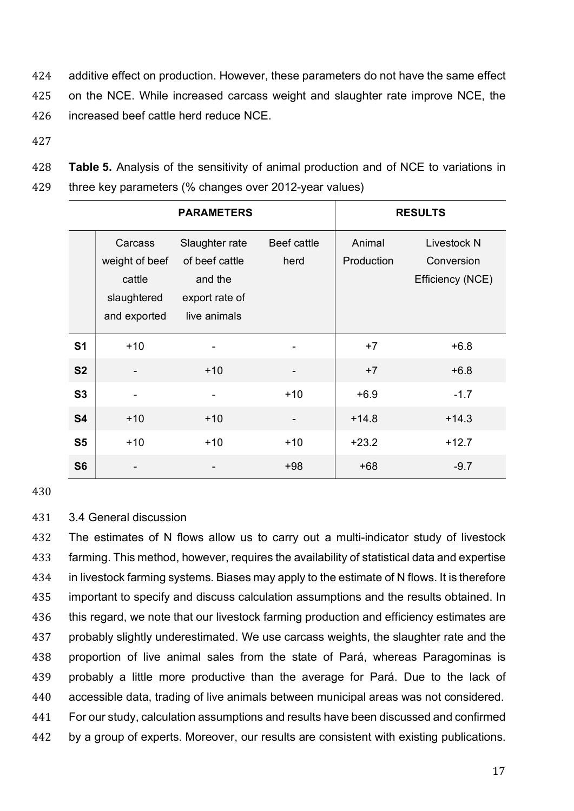424 additive effect on production. However, these parameters do not have the same effect 425 on the NCE. While increased carcass weight and slaughter rate improve NCE, the 426 increased beef cattle herd reduce NCE.

- 427
- 428 **Table 5.** Analysis of the sensitivity of animal production and of NCE to variations in
- 429 three key parameters (% changes over 2012-year values)

|                |                                                                    | <b>PARAMETERS</b>                                                             | <b>RESULTS</b>      |                      |                                                      |
|----------------|--------------------------------------------------------------------|-------------------------------------------------------------------------------|---------------------|----------------------|------------------------------------------------------|
|                | Carcass<br>weight of beef<br>cattle<br>slaughtered<br>and exported | Slaughter rate<br>of beef cattle<br>and the<br>export rate of<br>live animals | Beef cattle<br>herd | Animal<br>Production | <b>Livestock N</b><br>Conversion<br>Efficiency (NCE) |
| S <sub>1</sub> | $+10$                                                              |                                                                               |                     | $+7$                 | $+6.8$                                               |
| <b>S2</b>      |                                                                    | $+10$                                                                         |                     | $+7$                 | $+6.8$                                               |
| S3             | $\blacksquare$                                                     | -                                                                             | $+10$               | $+6.9$               | $-1.7$                                               |
| <b>S4</b>      | $+10$                                                              | $+10$                                                                         |                     | $+14.8$              | $+14.3$                                              |
| S <sub>5</sub> | $+10$                                                              | $+10$                                                                         | $+10$               | $+23.2$              | $+12.7$                                              |
| S <sub>6</sub> |                                                                    |                                                                               | $+98$               | $+68$                | $-9.7$                                               |

430

# 431 3.4 General discussion

 The estimates of N flows allow us to carry out a multi-indicator study of livestock farming. This method, however, requires the availability of statistical data and expertise in livestock farming systems. Biases may apply to the estimate of N flows. It is therefore important to specify and discuss calculation assumptions and the results obtained. In 436 this regard, we note that our livestock farming production and efficiency estimates are probably slightly underestimated. We use carcass weights, the slaughter rate and the proportion of live animal sales from the state of Pará, whereas Paragominas is probably a little more productive than the average for Pará. Due to the lack of accessible data, trading of live animals between municipal areas was not considered. For our study, calculation assumptions and results have been discussed and confirmed by a group of experts. Moreover, our results are consistent with existing publications.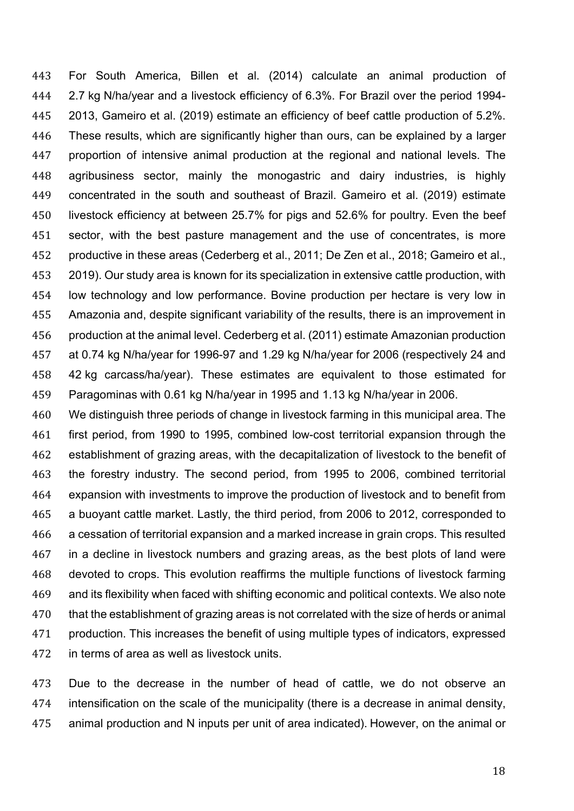For South America, Billen et al. (2014) calculate an animal production of 2.7 kg N/ha/year and a livestock efficiency of 6.3%. For Brazil over the period 1994- 2013, Gameiro et al. (2019) estimate an efficiency of beef cattle production of 5.2%. These results, which are significantly higher than ours, can be explained by a larger proportion of intensive animal production at the regional and national levels. The agribusiness sector, mainly the monogastric and dairy industries, is highly concentrated in the south and southeast of Brazil. Gameiro et al. (2019) estimate livestock efficiency at between 25.7% for pigs and 52.6% for poultry. Even the beef sector, with the best pasture management and the use of concentrates, is more productive in these areas (Cederberg et al., 2011; De Zen et al., 2018; Gameiro et al., 2019). Our study area is known for its specialization in extensive cattle production, with low technology and low performance. Bovine production per hectare is very low in Amazonia and, despite significant variability of the results, there is an improvement in production at the animal level. Cederberg et al. (2011) estimate Amazonian production at 0.74 kg N/ha/year for 1996-97 and 1.29 kg N/ha/year for 2006 (respectively 24 and 42 kg carcass/ha/year). These estimates are equivalent to those estimated for Paragominas with 0.61 kg N/ha/year in 1995 and 1.13 kg N/ha/year in 2006.

 We distinguish three periods of change in livestock farming in this municipal area. The first period, from 1990 to 1995, combined low-cost territorial expansion through the establishment of grazing areas, with the decapitalization of livestock to the benefit of the forestry industry. The second period, from 1995 to 2006, combined territorial expansion with investments to improve the production of livestock and to benefit from a buoyant cattle market. Lastly, the third period, from 2006 to 2012, corresponded to a cessation of territorial expansion and a marked increase in grain crops. This resulted in a decline in livestock numbers and grazing areas, as the best plots of land were devoted to crops. This evolution reaffirms the multiple functions of livestock farming and its flexibility when faced with shifting economic and political contexts. We also note that the establishment of grazing areas is not correlated with the size of herds or animal production. This increases the benefit of using multiple types of indicators, expressed in terms of area as well as livestock units.

 Due to the decrease in the number of head of cattle, we do not observe an intensification on the scale of the municipality (there is a decrease in animal density, animal production and N inputs per unit of area indicated). However, on the animal or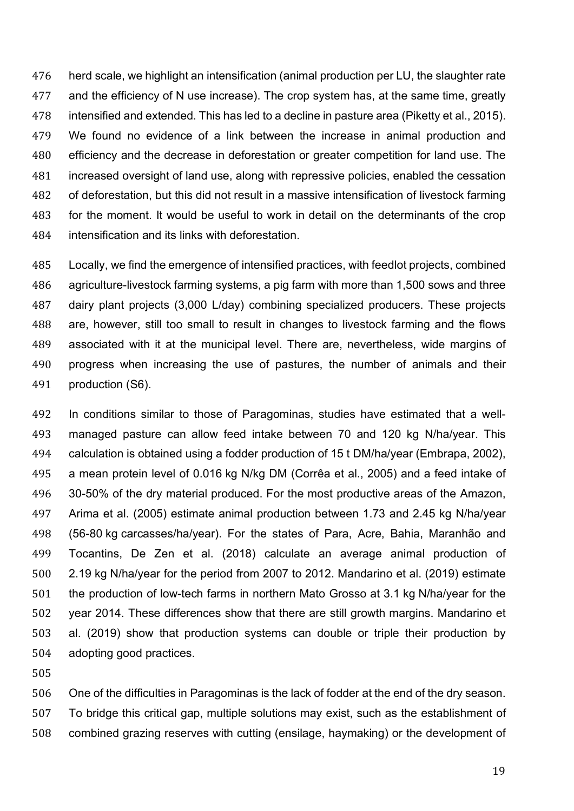herd scale, we highlight an intensification (animal production per LU, the slaughter rate and the efficiency of N use increase). The crop system has, at the same time, greatly intensified and extended. This has led to a decline in pasture area (Piketty et al., 2015). We found no evidence of a link between the increase in animal production and efficiency and the decrease in deforestation or greater competition for land use. The increased oversight of land use, along with repressive policies, enabled the cessation of deforestation, but this did not result in a massive intensification of livestock farming for the moment. It would be useful to work in detail on the determinants of the crop intensification and its links with deforestation.

 Locally, we find the emergence of intensified practices, with feedlot projects, combined agriculture-livestock farming systems, a pig farm with more than 1,500 sows and three dairy plant projects (3,000 L/day) combining specialized producers. These projects are, however, still too small to result in changes to livestock farming and the flows associated with it at the municipal level. There are, nevertheless, wide margins of progress when increasing the use of pastures, the number of animals and their production (S6).

 In conditions similar to those of Paragominas, studies have estimated that a well- managed pasture can allow feed intake between 70 and 120 kg N/ha/year. This calculation is obtained using a fodder production of 15 t DM/ha/year (Embrapa, 2002), a mean protein level of 0.016 kg N/kg DM (Corrêa et al., 2005) and a feed intake of 30-50% of the dry material produced. For the most productive areas of the Amazon, Arima et al. (2005) estimate animal production between 1.73 and 2.45 kg N/ha/year (56-80 kg carcasses/ha/year). For the states of Para, Acre, Bahia, Maranhão and Tocantins, De Zen et al. (2018) calculate an average animal production of 2.19 kg N/ha/year for the period from 2007 to 2012. Mandarino et al. (2019) estimate the production of low-tech farms in northern Mato Grosso at 3.1 kg N/ha/year for the year 2014. These differences show that there are still growth margins. Mandarino et al. (2019) show that production systems can double or triple their production by adopting good practices.

 One of the difficulties in Paragominas is the lack of fodder at the end of the dry season. To bridge this critical gap, multiple solutions may exist, such as the establishment of combined grazing reserves with cutting (ensilage, haymaking) or the development of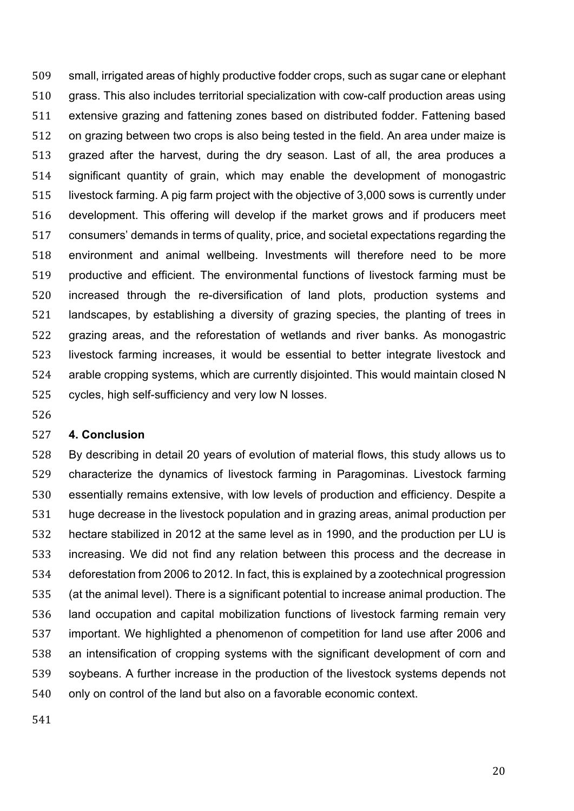small, irrigated areas of highly productive fodder crops, such as sugar cane or elephant grass. This also includes territorial specialization with cow-calf production areas using extensive grazing and fattening zones based on distributed fodder. Fattening based on grazing between two crops is also being tested in the field. An area under maize is grazed after the harvest, during the dry season. Last of all, the area produces a significant quantity of grain, which may enable the development of monogastric livestock farming. A pig farm project with the objective of 3,000 sows is currently under development. This offering will develop if the market grows and if producers meet consumers' demands in terms of quality, price, and societal expectations regarding the environment and animal wellbeing. Investments will therefore need to be more productive and efficient. The environmental functions of livestock farming must be increased through the re-diversification of land plots, production systems and landscapes, by establishing a diversity of grazing species, the planting of trees in grazing areas, and the reforestation of wetlands and river banks. As monogastric livestock farming increases, it would be essential to better integrate livestock and arable cropping systems, which are currently disjointed. This would maintain closed N cycles, high self-sufficiency and very low N losses.

#### **4. Conclusion**

 By describing in detail 20 years of evolution of material flows, this study allows us to characterize the dynamics of livestock farming in Paragominas. Livestock farming essentially remains extensive, with low levels of production and efficiency. Despite a huge decrease in the livestock population and in grazing areas, animal production per hectare stabilized in 2012 at the same level as in 1990, and the production per LU is increasing. We did not find any relation between this process and the decrease in deforestation from 2006 to 2012. In fact, this is explained by a zootechnical progression (at the animal level). There is a significant potential to increase animal production. The land occupation and capital mobilization functions of livestock farming remain very important. We highlighted a phenomenon of competition for land use after 2006 and an intensification of cropping systems with the significant development of corn and soybeans. A further increase in the production of the livestock systems depends not only on control of the land but also on a favorable economic context.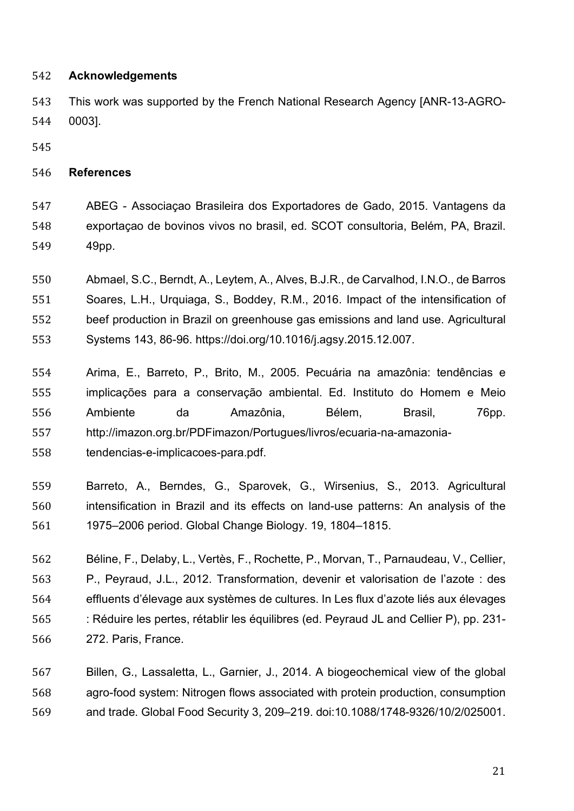## **Acknowledgements**

 This work was supported by the French National Research Agency [ANR-13-AGRO-0003].

## **References**

 ABEG - Associaçao Brasileira dos Exportadores de Gado, 2015. Vantagens da exportaçao de bovinos vivos no brasil, ed. SCOT consultoria, Belém, PA, Brazil. 49pp.

 Abmael, S.C., Berndt, A., Leytem, A., Alves, B.J.R., de Carvalhod, I.N.O., de Barros Soares, L.H., Urquiaga, S., Boddey, R.M., 2016. Impact of the intensification of beef production in Brazil on greenhouse gas emissions and land use. Agricultural Systems 143, 86-96. https://doi.org/10.1016/j.agsy.2015.12.007.

- Arima, E., Barreto, P., Brito, M., 2005. Pecuária na amazônia: tendências e implicações para a conservação ambiental. Ed. Instituto do Homem e Meio Ambiente da Amazônia, Bélem, Brasil, 76pp. http://imazon.org.br/PDFimazon/Portugues/livros/ecuaria-na-amazonia-tendencias-e-implicacoes-para.pdf.
- Barreto, A., Berndes, G., Sparovek, G., Wirsenius, S., 2013. Agricultural intensification in Brazil and its effects on land-use patterns: An analysis of the 1975–2006 period. Global Change Biology. 19, 1804–1815.
- Béline, F., Delaby, L., Vertès, F., Rochette, P., Morvan, T., Parnaudeau, V., Cellier, P., Peyraud, J.L., 2012. Transformation, devenir et valorisation de l'azote : des effluents d'élevage aux systèmes de cultures. In Les flux d'azote liés aux élevages : Réduire les pertes, rétablir les équilibres (ed. Peyraud JL and Cellier P), pp. 231- 272. Paris, France.

 Billen, G., Lassaletta, L., Garnier, J., 2014. A biogeochemical view of the global agro-food system: Nitrogen flows associated with protein production, consumption and trade. Global Food Security 3, 209–219. doi:10.1088/1748-9326/10/2/025001.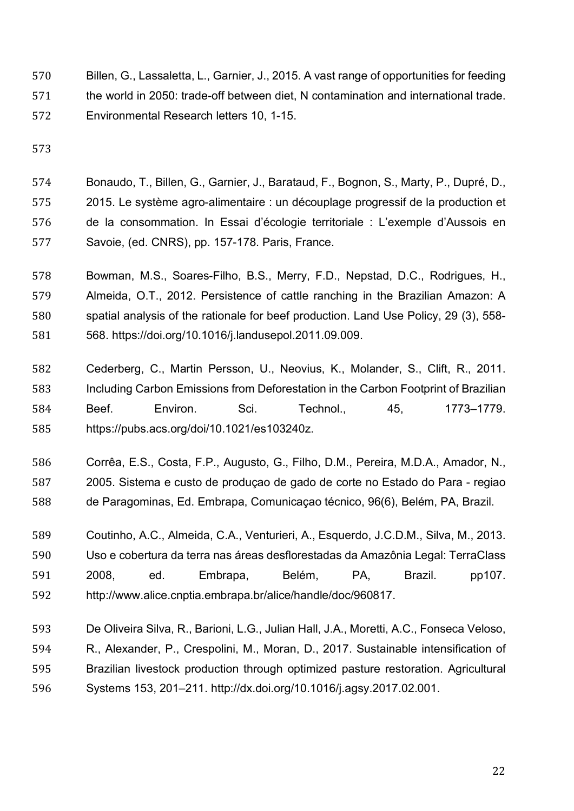- Billen, G., Lassaletta, L., Garnier, J., 2015. A vast range of opportunities for feeding the world in 2050: trade-off between diet, N contamination and international trade. Environmental Research letters 10, 1-15.
- 

 Bonaudo, T., Billen, G., Garnier, J., Barataud, F., Bognon, S., Marty, P., Dupré, D., 2015. Le système agro-alimentaire : un découplage progressif de la production et de la consommation. In Essai d'écologie territoriale : L'exemple d'Aussois en Savoie, (ed. CNRS), pp. 157-178. Paris, France.

- Bowman, M.S., Soares-Filho, B.S., Merry, F.D., Nepstad, D.C., Rodrigues, H., Almeida, O.T., 2012. Persistence of cattle ranching in the Brazilian Amazon: A spatial analysis of the rationale for beef production. Land Use Policy, 29 (3), 558- 568. https://doi.org/10.1016/j.landusepol.2011.09.009.
- Cederberg, C., Martin Persson, U., Neovius, K., Molander, S., Clift, R., 2011. Including Carbon Emissions from Deforestation in the Carbon Footprint of Brazilian Beef. Environ. Sci. Technol., 45, 1773–1779. https://pubs.acs.org/doi/10.1021/es103240z.
- Corrêa, E.S., Costa, F.P., Augusto, G., Filho, D.M., Pereira, M.D.A., Amador, N., 2005. Sistema e custo de produçao de gado de corte no Estado do Para - regiao de Paragominas, Ed. Embrapa, Comunicaçao técnico, 96(6), Belém, PA, Brazil.
- Coutinho, A.C., Almeida, C.A., Venturieri, A., Esquerdo, J.C.D.M., Silva, M., 2013. Uso e cobertura da terra nas áreas desflorestadas da Amazônia Legal: TerraClass 2008, ed. Embrapa, Belém, PA, Brazil. pp107. http://www.alice.cnptia.embrapa.br/alice/handle/doc/960817.
- De Oliveira Silva, R., Barioni, L.G., Julian Hall, J.A., Moretti, A.C., Fonseca Veloso, R., Alexander, P., Crespolini, M., Moran, D., 2017. Sustainable intensification of Brazilian livestock production through optimized pasture restoration. Agricultural Systems 153, 201–211. http://dx.doi.org/10.1016/j.agsy.2017.02.001.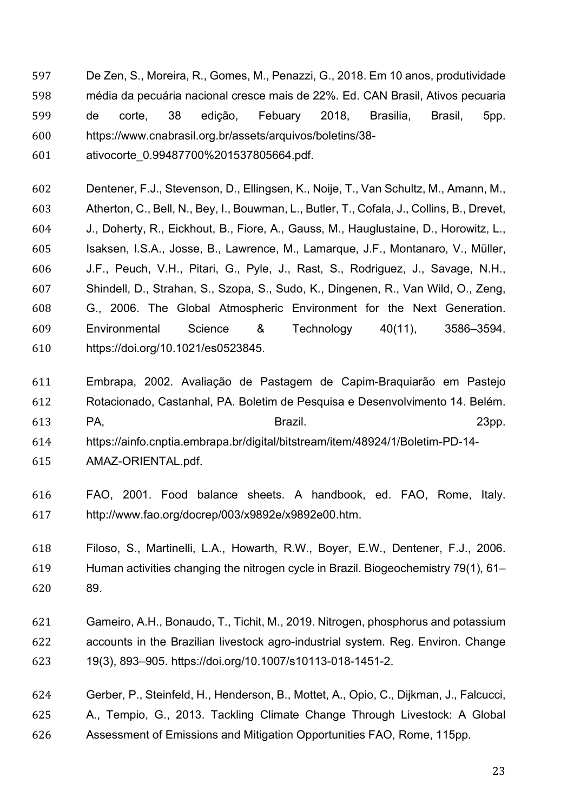- De Zen, S., Moreira, R., Gomes, M., Penazzi, G., 2018. Em 10 anos, produtividade média da pecuária nacional cresce mais de 22%. Ed. CAN Brasil, Ativos pecuaria de corte, 38 edição, Febuary 2018, Brasilia, Brasil, 5pp. https://www.cnabrasil.org.br/assets/arquivos/boletins/38-
- ativocorte\_0.99487700%201537805664.pdf.
- Dentener, F.J., Stevenson, D., Ellingsen, K., Noije, T., Van Schultz, M., Amann, M., Atherton, C., Bell, N., Bey, I., Bouwman, L., Butler, T., Cofala, J., Collins, B., Drevet, J., Doherty, R., Eickhout, B., Fiore, A., Gauss, M., Hauglustaine, D., Horowitz, L., Isaksen, I.S.A., Josse, B., Lawrence, M., Lamarque, J.F., Montanaro, V., Müller, J.F., Peuch, V.H., Pitari, G., Pyle, J., Rast, S., Rodriguez, J., Savage, N.H., Shindell, D., Strahan, S., Szopa, S., Sudo, K., Dingenen, R., Van Wild, O., Zeng, G., 2006. The Global Atmospheric Environment for the Next Generation. Environmental Science & Technology 40(11), 3586–3594. https://doi.org/10.1021/es0523845.
- Embrapa, 2002. Avaliação de Pastagem de Capim-Braquiarão em Pastejo Rotacionado, Castanhal, PA. Boletim de Pesquisa e Desenvolvimento 14. Belém. PA, Brazil. 23pp.
- https://ainfo.cnptia.embrapa.br/digital/bitstream/item/48924/1/Boletim-PD-14-
- AMAZ-ORIENTAL.pdf.
- FAO, 2001. Food balance sheets. A handbook, ed. FAO, Rome, Italy. http://www.fao.org/docrep/003/x9892e/x9892e00.htm.
- Filoso, S., Martinelli, L.A., Howarth, R.W., Boyer, E.W., Dentener, F.J., 2006. Human activities changing the nitrogen cycle in Brazil. Biogeochemistry 79(1), 61– 89.
- Gameiro, A.H., Bonaudo, T., Tichit, M., 2019. Nitrogen, phosphorus and potassium accounts in the Brazilian livestock agro-industrial system. Reg. Environ. Change 19(3), 893–905. https://doi.org/10.1007/s10113-018-1451-2.
- Gerber, P., Steinfeld, H., Henderson, B., Mottet, A., Opio, C., Dijkman, J., Falcucci, A., Tempio, G., 2013. Tackling Climate Change Through Livestock: A Global Assessment of Emissions and Mitigation Opportunities FAO, Rome, 115pp.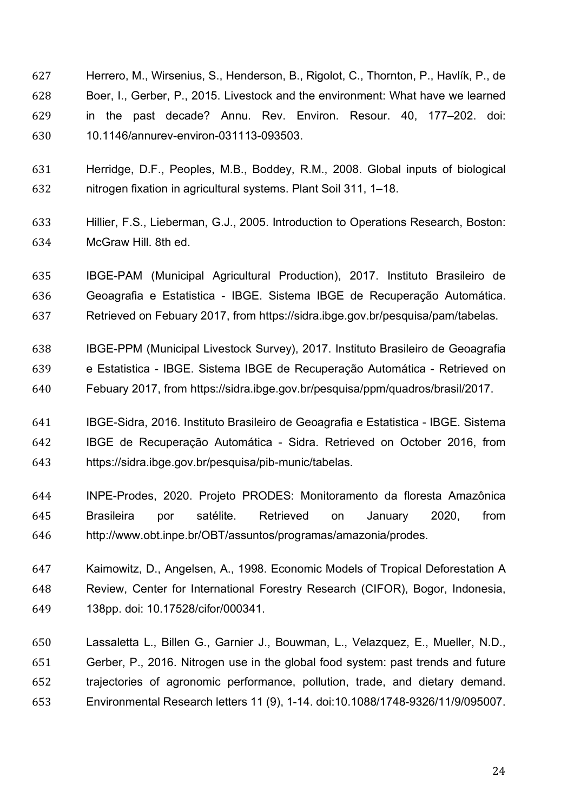- Herrero, M., Wirsenius, S., Henderson, B., Rigolot, C., Thornton, P., Havlík, P., de Boer, I., Gerber, P., 2015. Livestock and the environment: What have we learned in the past decade? Annu. Rev. Environ. Resour. 40, 177–202. doi: 10.1146/annurev-environ-031113-093503.
- Herridge, D.F., Peoples, M.B., Boddey, R.M., 2008. Global inputs of biological nitrogen fixation in agricultural systems. Plant Soil 311, 1–18.
- Hillier, F.S., Lieberman, G.J., 2005. Introduction to Operations Research, Boston: McGraw Hill. 8th ed.
- IBGE-PAM (Municipal Agricultural Production), 2017. Instituto Brasileiro de Geoagrafia e Estatistica - IBGE. Sistema IBGE de Recuperação Automática. Retrieved on Febuary 2017, from https://sidra.ibge.gov.br/pesquisa/pam/tabelas.
- IBGE-PPM (Municipal Livestock Survey), 2017. Instituto Brasileiro de Geoagrafia e Estatistica - IBGE. Sistema IBGE de Recuperação Automática - Retrieved on Febuary 2017, from https://sidra.ibge.gov.br/pesquisa/ppm/quadros/brasil/2017.
- IBGE-Sidra, 2016. Instituto Brasileiro de Geoagrafia e Estatistica IBGE. Sistema IBGE de Recuperação Automática - Sidra. Retrieved on October 2016, from https://sidra.ibge.gov.br/pesquisa/pib-munic/tabelas.
- INPE-Prodes, 2020. Projeto PRODES: Monitoramento da floresta Amazônica Brasileira por satélite. Retrieved on January 2020, from http://www.obt.inpe.br/OBT/assuntos/programas/amazonia/prodes.
- Kaimowitz, D., Angelsen, A., 1998. Economic Models of Tropical Deforestation A Review, Center for International Forestry Research (CIFOR), Bogor, Indonesia, 138pp. doi: 10.17528/cifor/000341.
- Lassaletta L., Billen G., Garnier J., Bouwman, L., Velazquez, E., Mueller, N.D., Gerber, P., 2016. Nitrogen use in the global food system: past trends and future trajectories of agronomic performance, pollution, trade, and dietary demand. Environmental Research letters 11 (9), 1-14. doi:10.1088/1748-9326/11/9/095007.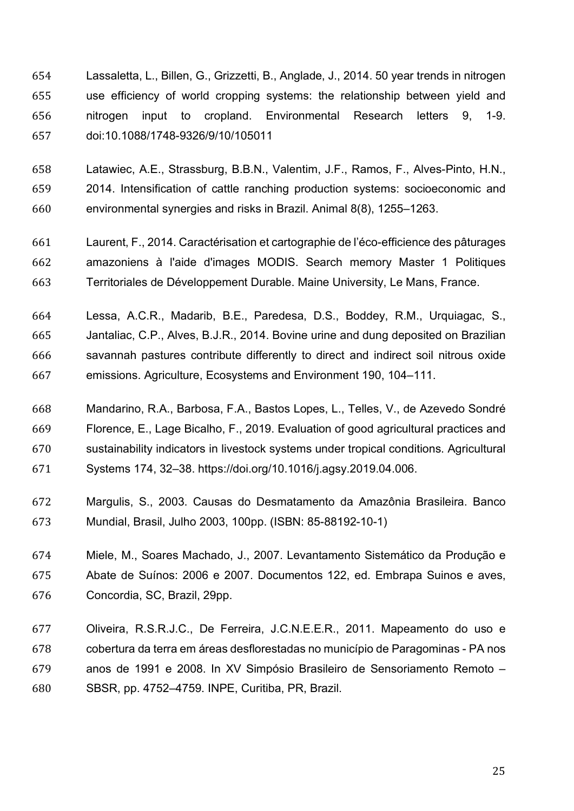Lassaletta, L., Billen, G., Grizzetti, B., Anglade, J., 2014. 50 year trends in nitrogen use efficiency of world cropping systems: the relationship between yield and nitrogen input to cropland. Environmental Research letters 9, 1-9. doi:10.1088/1748-9326/9/10/105011

 Latawiec, A.E., Strassburg, B.B.N., Valentim, J.F., Ramos, F., Alves-Pinto, H.N., 2014. Intensification of cattle ranching production systems: socioeconomic and environmental synergies and risks in Brazil. Animal 8(8), 1255–1263.

 Laurent, F., 2014. Caractérisation et cartographie de l'éco-efficience des pâturages amazoniens à l'aide d'images MODIS. Search memory Master 1 Politiques Territoriales de Développement Durable. Maine University, Le Mans, France.

 Lessa, A.C.R., Madarib, B.E., Paredesa, D.S., Boddey, R.M., Urquiagac, S., Jantaliac, C.P., Alves, B.J.R., 2014. Bovine urine and dung deposited on Brazilian savannah pastures contribute differently to direct and indirect soil nitrous oxide emissions. Agriculture, Ecosystems and Environment 190, 104–111.

 Mandarino, R.A., Barbosa, F.A., Bastos Lopes, L., Telles, V., de Azevedo Sondré Florence, E., Lage Bicalho, F., 2019. Evaluation of good agricultural practices and sustainability indicators in livestock systems under tropical conditions. Agricultural Systems 174, 32–38. https://doi.org/10.1016/j.agsy.2019.04.006.

 Margulis, S., 2003. Causas do Desmatamento da Amazônia Brasileira. Banco Mundial, Brasil, Julho 2003, 100pp. (ISBN: 85-88192-10-1)

 Miele, M., Soares Machado, J., 2007. Levantamento Sistemático da Produção e Abate de Suínos: 2006 e 2007. Documentos 122, ed. Embrapa Suinos e aves, Concordia, SC, Brazil, 29pp.

 Oliveira, R.S.R.J.C., De Ferreira, J.C.N.E.E.R., 2011. Mapeamento do uso e cobertura da terra em áreas desflorestadas no município de Paragominas - PA nos anos de 1991 e 2008. In XV Simpósio Brasileiro de Sensoriamento Remoto – SBSR, pp. 4752–4759. INPE, Curitiba, PR, Brazil.